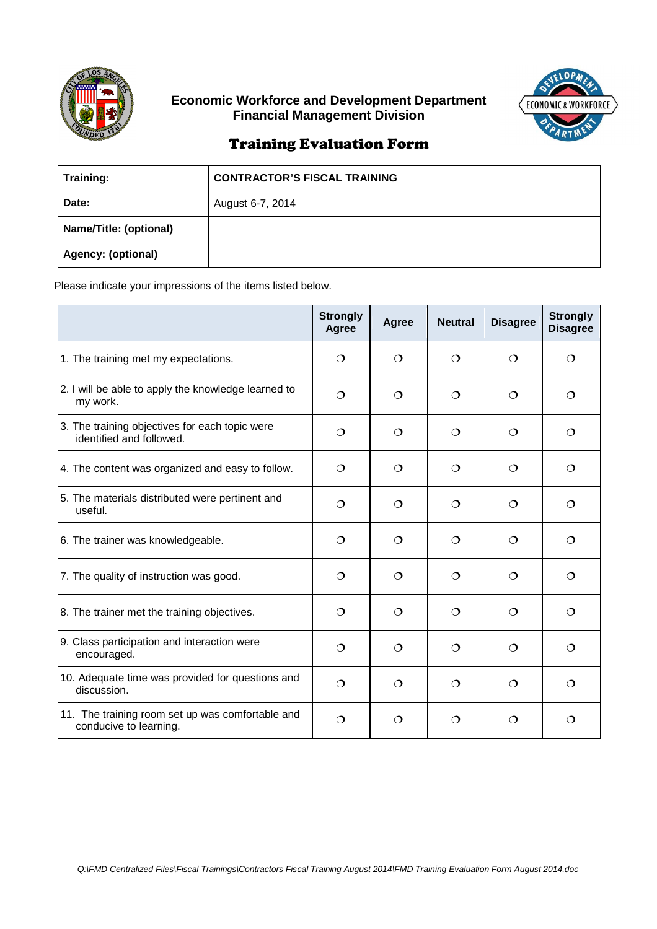

## **Economic Workforce and Development Department Financial Management Division**



## Training Evaluation Form

| Training:                 | <b>CONTRACTOR'S FISCAL TRAINING</b> |
|---------------------------|-------------------------------------|
| Date:                     | August 6-7, 2014                    |
| Name/Title: (optional)    |                                     |
| <b>Agency: (optional)</b> |                                     |

Please indicate your impressions of the items listed below.

|                                                                            | <b>Strongly</b><br>Agree | Agree    | <b>Neutral</b> | <b>Disagree</b> | <b>Strongly</b><br><b>Disagree</b> |
|----------------------------------------------------------------------------|--------------------------|----------|----------------|-----------------|------------------------------------|
| 1. The training met my expectations.                                       | $\Omega$                 | $\Omega$ | ∩              | ◯               | ◯                                  |
| 2. I will be able to apply the knowledge learned to<br>my work.            | $\circ$                  | $\circ$  | $\circ$        | $\circ$         | ◯                                  |
| 3. The training objectives for each topic were<br>identified and followed. | ◯                        | $\Omega$ | $\Omega$       | $\Omega$        | $\Omega$                           |
| 4. The content was organized and easy to follow.                           | $\Omega$                 | $\Omega$ | $\Omega$       | $\Omega$        | ◯                                  |
| 5. The materials distributed were pertinent and<br>useful.                 | ◯                        | $\Omega$ | $\Omega$       | $\Omega$        | ◯                                  |
| 6. The trainer was knowledgeable.                                          | $\circ$                  | $\circ$  | $\circ$        | $\Omega$        | ◯                                  |
| 7. The quality of instruction was good.                                    | $\circ$                  | $\circ$  | $\circ$        | $\circ$         | ◯                                  |
| 8. The trainer met the training objectives.                                | $\Omega$                 | $\Omega$ | $\Omega$       | $\Omega$        | ◯                                  |
| 9. Class participation and interaction were<br>encouraged.                 | $\Omega$                 | $\Omega$ | ◯              | ◯               | ◯                                  |
| 10. Adequate time was provided for questions and<br>discussion.            | $\circ$                  | $\Omega$ | $\circ$        | $\Omega$        | ◯                                  |
| 11. The training room set up was comfortable and<br>conducive to learning. | $\circ$                  | $\circ$  | $\circ$        | $\circ$         | ◯                                  |